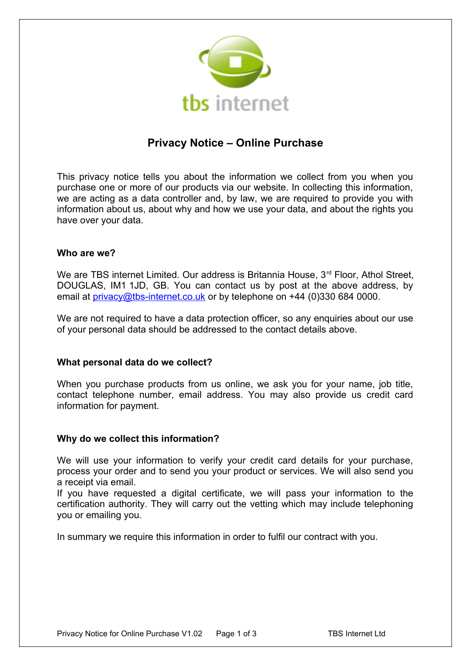

# **Privacy Notice – Online Purchase**

This privacy notice tells you about the information we collect from you when you purchase one or more of our products via our website. In collecting this information, we are acting as a data controller and, by law, we are required to provide you with information about us, about why and how we use your data, and about the rights you have over your data.

# **Who are we?**

We are TBS internet Limited. Our address is Britannia House, 3<sup>rd</sup> Floor, Athol Street, DOUGLAS, IM1 1JD, GB. You can contact us by post at the above address, by email at [privacy@tbs-internet.co.uk](mailto:privacy@tbs-internet.co.uk) or by telephone on +44 (0)330 684 0000.

We are not required to have a data protection officer, so any enquiries about our use of your personal data should be addressed to the contact details above.

# **What personal data do we collect?**

When you purchase products from us online, we ask you for your name, job title, contact telephone number, email address. You may also provide us credit card information for payment.

#### **Why do we collect this information?**

We will use your information to verify your credit card details for your purchase, process your order and to send you your product or services. We will also send you a receipt via email.

If you have requested a digital certificate, we will pass your information to the certification authority. They will carry out the vetting which may include telephoning you or emailing you.

In summary we require this information in order to fulfil our contract with you.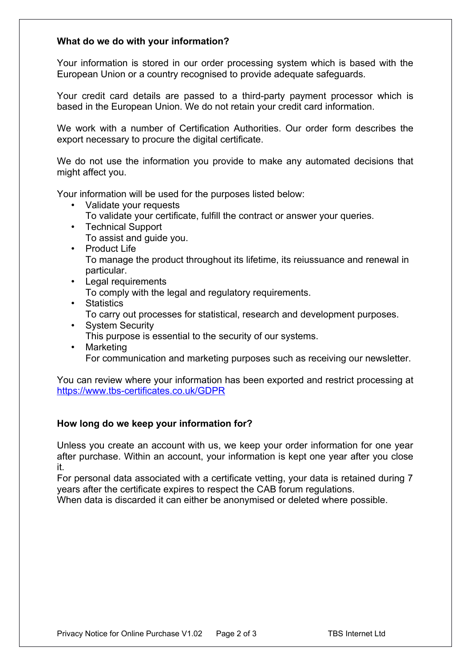## **What do we do with your information?**

Your information is stored in our order processing system which is based with the European Union or a country recognised to provide adequate safeguards.

Your credit card details are passed to a third-party payment processor which is based in the European Union. We do not retain your credit card information.

We work with a number of Certification Authorities. Our order form describes the export necessary to procure the digital certificate.

We do not use the information you provide to make any automated decisions that might affect you.

Your information will be used for the purposes listed below:

- Validate your requests
	- To validate your certificate, fulfill the contract or answer your queries.
- Technical Support To assist and guide you.
- Product Life To manage the product throughout its lifetime, its reiussuance and renewal in particular.
- Legal requirements To comply with the legal and regulatory requirements.
- Statistics To carry out processes for statistical, research and development purposes.
- System Security This purpose is essential to the security of our systems.
- Marketing For communication and marketing purposes such as receiving our newsletter.

You can review where your information has been exported and restrict processing at <https://www.tbs-certificates.co.uk/GDPR>

# **How long do we keep your information for?**

Unless you create an account with us, we keep your order information for one year after purchase. Within an account, your information is kept one year after you close it.

For personal data associated with a certificate vetting, your data is retained during 7 years after the certificate expires to respect the CAB forum regulations.

When data is discarded it can either be anonymised or deleted where possible.